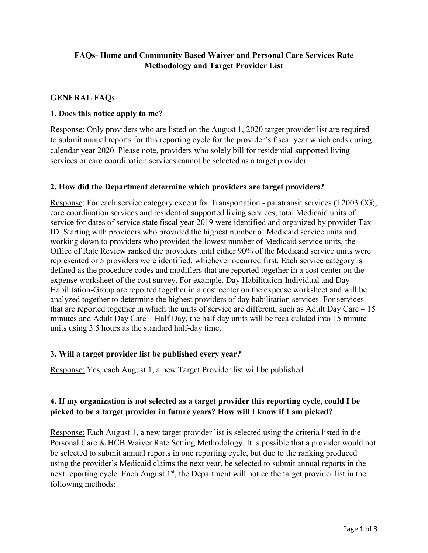# **FAQs- Home and Community Based Waiver and Personal Care Services Rate Methodology and Target Provider List**

## **GENERAL FAQs**

#### **1. Does this notice apply to me?**

Response: Only providers who are listed on the August 1, 2020 target provider list are required to submit annual reports for this reporting cycle for the provider's fiscal year which ends during calendar year 2020. Please note, providers who solely bill for residential supported living services or care coordination services cannot be selected as a target provider.

#### **2. How did the Department determine which providers are target providers?**

Response: For each service category except for Transportation - paratransit services (T2003 CG), care coordination services and residential supported living services, total Medicaid units of service for dates of service state fiscal year 2019 were identified and organized by provider Tax ID. Starting with providers who provided the highest number of Medicaid service units and working down to providers who provided the lowest number of Medicaid service units, the Office of Rate Review ranked the providers until either 90% of the Medicaid service units were represented or 5 providers were identified, whichever occurred first. Each service category is defined as the procedure codes and modifiers that are reported together in a cost center on the expense worksheet of the cost survey. For example, Day Habilitation-Individual and Day Habilitation-Group are reported together in a cost center on the expense worksheet and will be analyzed together to determine the highest providers of day habilitation services. For services that are reported together in which the units of service are different, such as Adult Day Care – 15 minutes and Adult Day Care – Half Day, the half day units will be recalculated into 15 minute units using 3.5 hours as the standard half-day time.

## **3. Will a target provider list be published every year?**

Response: Yes, each August 1, a new Target Provider list will be published.

## **4. If my organization is not selected as a target provider this reporting cycle, could I be picked to be a target provider in future years? How will I know if I am picked?**

Response: Each August 1, a new target provider list is selected using the criteria listed in the Personal Care & HCB Waiver Rate Setting Methodology. It is possible that a provider would not be selected to submit annual reports in one reporting cycle, but due to the ranking produced using the provider's Medicaid claims the next year, be selected to submit annual reports in the next reporting cycle. Each August 1<sup>st</sup>, the Department will notice the target provider list in the following methods: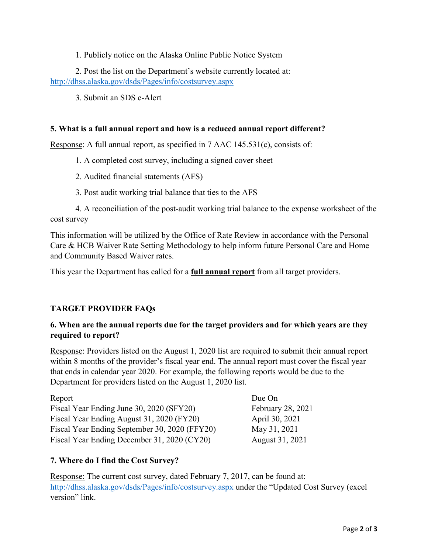1. Publicly notice on the Alaska Online Public Notice System

2. Post the list on the Department's website currently located at: <http://dhss.alaska.gov/dsds/Pages/info/costsurvey.aspx>

3. Submit an SDS e-Alert

#### **5. What is a full annual report and how is a reduced annual report different?**

Response: A full annual report, as specified in 7 AAC 145.531(c), consists of:

1. A completed cost survey, including a signed cover sheet

2. Audited financial statements (AFS)

3. Post audit working trial balance that ties to the AFS

4. A reconciliation of the post-audit working trial balance to the expense worksheet of the cost survey

This information will be utilized by the Office of Rate Review in accordance with the Personal Care & HCB Waiver Rate Setting Methodology to help inform future Personal Care and Home and Community Based Waiver rates.

This year the Department has called for a **full annual report** from all target providers.

## **TARGET PROVIDER FAQs**

## **6. When are the annual reports due for the target providers and for which years are they required to report?**

Response: Providers listed on the August 1, 2020 list are required to submit their annual report within 8 months of the provider's fiscal year end. The annual report must cover the fiscal year that ends in calendar year 2020. For example, the following reports would be due to the Department for providers listed on the August 1, 2020 list.

| Report                                        | Due On                   |
|-----------------------------------------------|--------------------------|
| Fiscal Year Ending June 30, 2020 (SFY20)      | <b>February 28, 2021</b> |
| Fiscal Year Ending August 31, 2020 (FY20)     | April 30, 2021           |
| Fiscal Year Ending September 30, 2020 (FFY20) | May 31, 2021             |
| Fiscal Year Ending December 31, 2020 (CY20)   | August 31, 2021          |

## **7. Where do I find the Cost Survey?**

Response: The current cost survey, dated February 7, 2017, can be found at: <http://dhss.alaska.gov/dsds/Pages/info/costsurvey.aspx> under the "Updated Cost Survey (excel version" link.